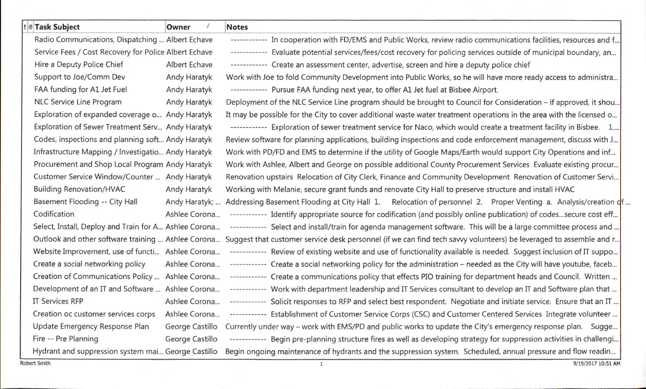| <b>! Task Subject</b>                                 | Owner               | <b>Notes</b>                                                                                                           |
|-------------------------------------------------------|---------------------|------------------------------------------------------------------------------------------------------------------------|
| Radio Communications, Dispatching  Albert Echave      |                     | ------------ In cooperation with FD/EMS and Public Works, review radio communications facilities, resources and f      |
| Service Fees / Cost Recovery for Police Albert Echave |                     | ------------ Evaluate potential services/fees/cost recovery for policing services outside of municipal boundary, an    |
| Hire a Deputy Police Chief                            | Albert Echave       | ------------ Create an assessment center, advertise, screen and hire a deputy police chief                             |
| Support to Joe/Comm Dev                               | <b>Andy Haratyk</b> | Work with Joe to fold Community Development into Public Works, so he will have more ready access to administra         |
| FAA funding for A1 Jet Fuel                           | Andy Haratyk        | ----------- Pursue FAA funding next year, to offer A1 Jet fuel at Bisbee Airport.                                      |
| NLC Service Line Program                              | Andy Haratyk        | Deployment of the NLC Service Line program should be brought to Council for Consideration - if approved, it shou       |
| Exploration of expanded coverage o Andy Haratyk       |                     | It may be possible for the City to cover additional waste water treatment operations in the area with the licensed o   |
| Exploration of Sewer Treatment Serv Andy Haratyk      |                     | ------------ Exploration of sewer treatment service for Naco, which would create a treatment facility in Bisbee. 1     |
| Codes, inspections and planning soft Andy Haratyk     |                     | Review software for planning applications, building inspections and code enforcement management, discuss with J        |
| Infrastructure Mapping / Investigatio Andy Haratyk    |                     | Work with PD/FD and EMS to determine if the utility of Google Maps/Earth would support City Operations and inf         |
| Procurement and Shop Local Program Andy Haratyk       |                     | Work with Ashlee, Albert and George on possible additional County Procurement Services Evaluate existing procur        |
| Customer Service Window/Counter  Andy Haratyk         |                     | Renovation upstairs Relocation of City Clerk, Finance and Community Development Renovation of Customer Servi           |
| <b>Building Renovation/HVAC</b>                       | <b>Andy Haratyk</b> | Working with Melanie, secure grant funds and renovate City Hall to preserve structure and install HVAC                 |
| Basement Flooding -- City Hall                        | Andy Haratyk;       | Addressing Basement Flooding at City Hall 1. Relocation of personnel 2. Proper Venting a. Analysis/creation df         |
| Codification                                          | Ashlee Corona       | ------------ Identify appropriate source for codification (and possibly online publication) of codessecure cost eff    |
| Select, Install, Deploy and Train for A Ashlee Corona |                     | ------------ Select and install/train for agenda management software. This will be a large committee process and       |
| Outlook and other software training  Ashlee Corona    |                     | Suggest that customer service desk personnel (if we can find tech savvy volunteers) be leveraged to assemble and r     |
| Website Improvement, use of functi Ashlee Corona      |                     | ------------ Review of existing website and use of functionality available is needed. Suggest inclusion of IT suppo    |
| Create a social networking policy                     | Ashlee Corona       | ------------ Create a social networking policy for the administration - needed as the City will have youtube, faceb    |
| Creation of Communications Policy  Ashlee Corona      |                     | ------------ Create a communications policy that effects PIO training for department heads and Council. Written        |
| Development of an IT and Software  Ashlee Corona      |                     | ------------ Work with department leadership and IT Services consultant to develop an IT and Software plan that        |
| <b>IT Services RFP</b>                                | Ashlee Corona       | ------------ Solicit responses to RFP and select best respondent. Negotiate and initiate service. Ensure that an IT    |
| Creation oc customer services corps                   | Ashlee Corona       | ------------ Establishment of Customer Service Corps (CSC) and Customer Centered Services Integrate volunteer          |
| Update Emergency Response Plan                        | George Castillo     | Currently under way - work with EMS/PD and public works to update the City's emergency response plan. Sugge            |
| Fire -- Pre Planning                                  | George Castillo     | ------------ Begin pre-planning structure fires as well as developing strategy for suppression activities in challengi |
| Hydrant and suppression system mai George Castillo    |                     | Begin ongoing maintenance of hydrants and the suppression system. Scheduled, annual pressure and flow readin           |